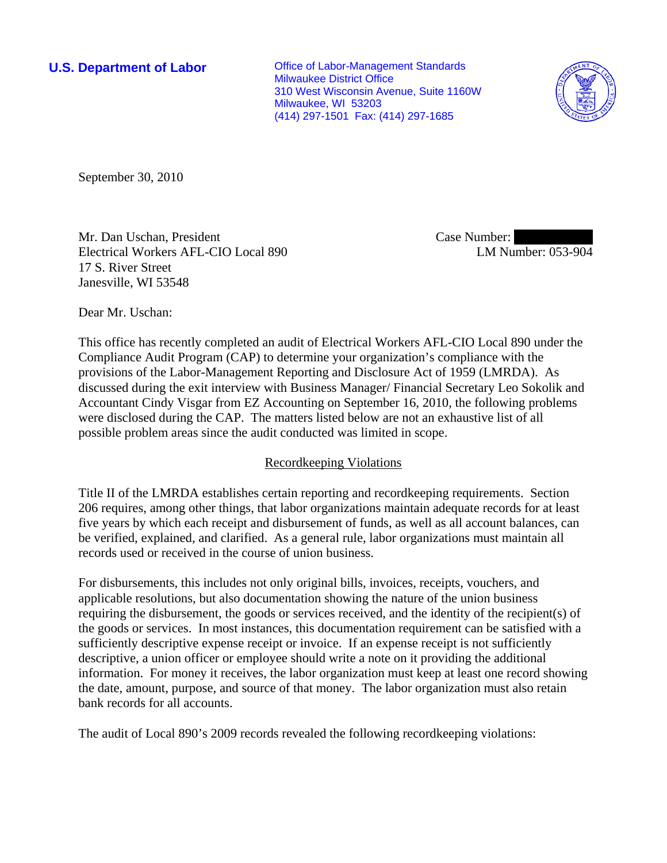**U.S. Department of Labor Conservative Conservative Conservative Conservative Conservative Conservative Conservative Conservative Conservative Conservative Conservative Conservative Conservative Conservative Conservative** Milwaukee District Office 310 West Wisconsin Avenue, Suite 1160W Milwaukee, WI 53203 (414) 297-1501 Fax: (414) 297-1685



September 30, 2010

Mr. Dan Uschan, President Electrical Workers AFL-CIO Local 890 17 S. River Street Janesville, WI 53548

Case Number: LM Number: 053-904

Dear Mr. Uschan:

This office has recently completed an audit of Electrical Workers AFL-CIO Local 890 under the Compliance Audit Program (CAP) to determine your organization's compliance with the provisions of the Labor-Management Reporting and Disclosure Act of 1959 (LMRDA). As discussed during the exit interview with Business Manager/ Financial Secretary Leo Sokolik and Accountant Cindy Visgar from EZ Accounting on September 16, 2010, the following problems were disclosed during the CAP. The matters listed below are not an exhaustive list of all possible problem areas since the audit conducted was limited in scope.

## Recordkeeping Violations

Title II of the LMRDA establishes certain reporting and recordkeeping requirements. Section 206 requires, among other things, that labor organizations maintain adequate records for at least five years by which each receipt and disbursement of funds, as well as all account balances, can be verified, explained, and clarified. As a general rule, labor organizations must maintain all records used or received in the course of union business.

For disbursements, this includes not only original bills, invoices, receipts, vouchers, and applicable resolutions, but also documentation showing the nature of the union business requiring the disbursement, the goods or services received, and the identity of the recipient(s) of the goods or services. In most instances, this documentation requirement can be satisfied with a sufficiently descriptive expense receipt or invoice. If an expense receipt is not sufficiently descriptive, a union officer or employee should write a note on it providing the additional information. For money it receives, the labor organization must keep at least one record showing the date, amount, purpose, and source of that money. The labor organization must also retain bank records for all accounts.

The audit of Local 890's 2009 records revealed the following recordkeeping violations: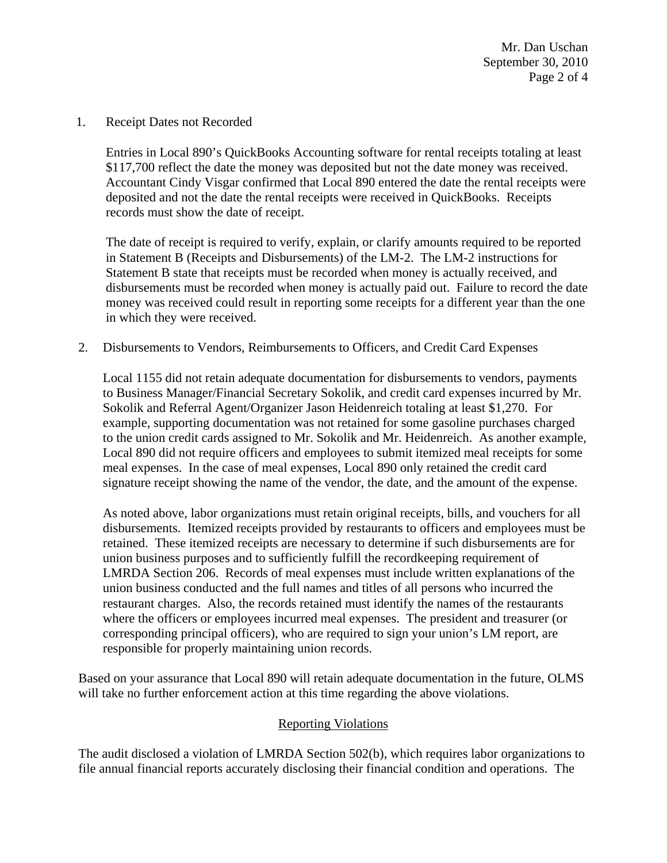Mr. Dan Uschan September 30, 2010 Page 2 of 4

1. Receipt Dates not Recorded

Entries in Local 890's QuickBooks Accounting software for rental receipts totaling at least \$117,700 reflect the date the money was deposited but not the date money was received. Accountant Cindy Visgar confirmed that Local 890 entered the date the rental receipts were deposited and not the date the rental receipts were received in QuickBooks. Receipts records must show the date of receipt.

The date of receipt is required to verify, explain, or clarify amounts required to be reported in Statement B (Receipts and Disbursements) of the LM-2. The LM-2 instructions for Statement B state that receipts must be recorded when money is actually received, and disbursements must be recorded when money is actually paid out. Failure to record the date money was received could result in reporting some receipts for a different year than the one in which they were received.

2. Disbursements to Vendors, Reimbursements to Officers, and Credit Card Expenses

 Local 1155 did not retain adequate documentation for disbursements to vendors, payments to Business Manager/Financial Secretary Sokolik, and credit card expenses incurred by Mr. Sokolik and Referral Agent/Organizer Jason Heidenreich totaling at least \$1,270. For example, supporting documentation was not retained for some gasoline purchases charged to the union credit cards assigned to Mr. Sokolik and Mr. Heidenreich. As another example, Local 890 did not require officers and employees to submit itemized meal receipts for some meal expenses. In the case of meal expenses, Local 890 only retained the credit card signature receipt showing the name of the vendor, the date, and the amount of the expense.

As noted above, labor organizations must retain original receipts, bills, and vouchers for all disbursements. Itemized receipts provided by restaurants to officers and employees must be retained. These itemized receipts are necessary to determine if such disbursements are for union business purposes and to sufficiently fulfill the recordkeeping requirement of LMRDA Section 206. Records of meal expenses must include written explanations of the union business conducted and the full names and titles of all persons who incurred the restaurant charges. Also, the records retained must identify the names of the restaurants where the officers or employees incurred meal expenses. The president and treasurer (or corresponding principal officers), who are required to sign your union's LM report, are responsible for properly maintaining union records.

Based on your assurance that Local 890 will retain adequate documentation in the future, OLMS will take no further enforcement action at this time regarding the above violations.

## Reporting Violations

The audit disclosed a violation of LMRDA Section 502(b), which requires labor organizations to file annual financial reports accurately disclosing their financial condition and operations. The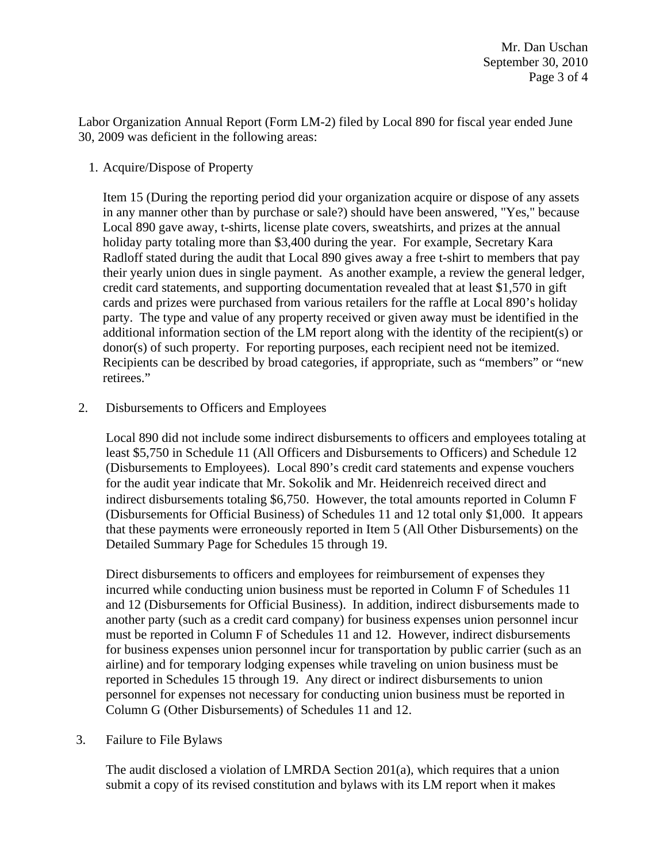Labor Organization Annual Report (Form LM-2) filed by Local 890 for fiscal year ended June 30, 2009 was deficient in the following areas:

1. Acquire/Dispose of Property

 Item 15 (During the reporting period did your organization acquire or dispose of any assets in any manner other than by purchase or sale?) should have been answered, "Yes," because Local 890 gave away, t-shirts, license plate covers, sweatshirts, and prizes at the annual holiday party totaling more than \$3,400 during the year. For example, Secretary Kara Radloff stated during the audit that Local 890 gives away a free t-shirt to members that pay their yearly union dues in single payment. As another example, a review the general ledger, credit card statements, and supporting documentation revealed that at least \$1,570 in gift cards and prizes were purchased from various retailers for the raffle at Local 890's holiday party. The type and value of any property received or given away must be identified in the additional information section of the LM report along with the identity of the recipient(s) or donor(s) of such property. For reporting purposes, each recipient need not be itemized. Recipients can be described by broad categories, if appropriate, such as "members" or "new retirees."

2. Disbursements to Officers and Employees

Local 890 did not include some indirect disbursements to officers and employees totaling at least \$5,750 in Schedule 11 (All Officers and Disbursements to Officers) and Schedule 12 (Disbursements to Employees). Local 890's credit card statements and expense vouchers for the audit year indicate that Mr. Sokolik and Mr. Heidenreich received direct and indirect disbursements totaling \$6,750. However, the total amounts reported in Column F (Disbursements for Official Business) of Schedules 11 and 12 total only \$1,000. It appears that these payments were erroneously reported in Item 5 (All Other Disbursements) on the Detailed Summary Page for Schedules 15 through 19.

Direct disbursements to officers and employees for reimbursement of expenses they incurred while conducting union business must be reported in Column F of Schedules 11 and 12 (Disbursements for Official Business). In addition, indirect disbursements made to another party (such as a credit card company) for business expenses union personnel incur must be reported in Column F of Schedules 11 and 12. However, indirect disbursements for business expenses union personnel incur for transportation by public carrier (such as an airline) and for temporary lodging expenses while traveling on union business must be reported in Schedules 15 through 19. Any direct or indirect disbursements to union personnel for expenses not necessary for conducting union business must be reported in Column G (Other Disbursements) of Schedules 11 and 12.

3. Failure to File Bylaws

The audit disclosed a violation of LMRDA Section  $201(a)$ , which requires that a union submit a copy of its revised constitution and bylaws with its LM report when it makes